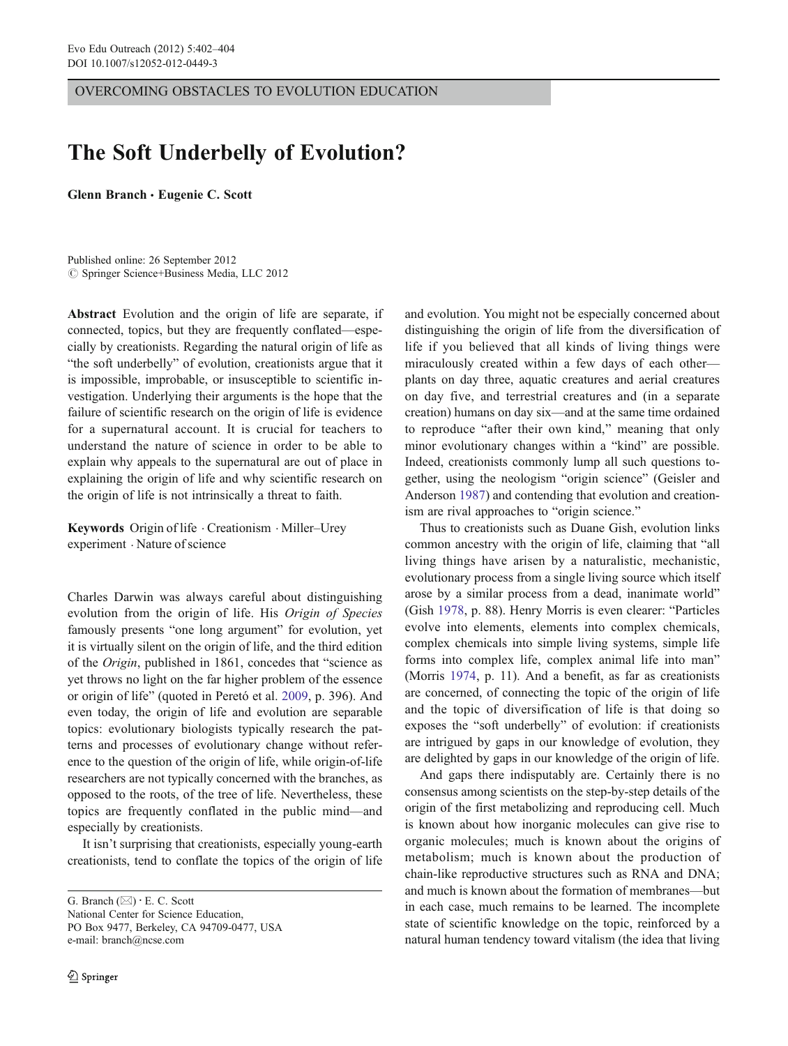OVERCOMING OBSTACLES TO EVOLUTION EDUCATION

## The Soft Underbelly of Evolution?

Glenn Branch · Eugenie C. Scott

Published online: 26 September 2012  $\oslash$  Springer Science+Business Media, LLC 2012

Abstract Evolution and the origin of life are separate, if connected, topics, but they are frequently conflated—especially by creationists. Regarding the natural origin of life as "the soft underbelly" of evolution, creationists argue that it is impossible, improbable, or insusceptible to scientific investigation. Underlying their arguments is the hope that the failure of scientific research on the origin of life is evidence for a supernatural account. It is crucial for teachers to understand the nature of science in order to be able to explain why appeals to the supernatural are out of place in explaining the origin of life and why scientific research on the origin of life is not intrinsically a threat to faith.

Keywords Origin of life . Creationism . Miller–Urey experiment . Nature of science

Charles Darwin was always careful about distinguishing evolution from the origin of life. His Origin of Species famously presents "one long argument" for evolution, yet it is virtually silent on the origin of life, and the third edition of the Origin, published in 1861, concedes that "science as yet throws no light on the far higher problem of the essence or origin of life" (quoted in Peretó et al. [2009](#page-2-0), p. 396). And even today, the origin of life and evolution are separable topics: evolutionary biologists typically research the patterns and processes of evolutionary change without reference to the question of the origin of life, while origin-of-life researchers are not typically concerned with the branches, as opposed to the roots, of the tree of life. Nevertheless, these topics are frequently conflated in the public mind—and especially by creationists.

It isn't surprising that creationists, especially young-earth creationists, tend to conflate the topics of the origin of life

G. Branch  $(\boxtimes) \cdot$  E. C. Scott National Center for Science Education, PO Box 9477, Berkeley, CA 94709-0477, USA e-mail: branch@ncse.com

and evolution. You might not be especially concerned about distinguishing the origin of life from the diversification of life if you believed that all kinds of living things were miraculously created within a few days of each other plants on day three, aquatic creatures and aerial creatures on day five, and terrestrial creatures and (in a separate creation) humans on day six—and at the same time ordained to reproduce "after their own kind," meaning that only minor evolutionary changes within a "kind" are possible. Indeed, creationists commonly lump all such questions together, using the neologism "origin science" (Geisler and Anderson [1987](#page-2-0)) and contending that evolution and creationism are rival approaches to "origin science."

Thus to creationists such as Duane Gish, evolution links common ancestry with the origin of life, claiming that "all living things have arisen by a naturalistic, mechanistic, evolutionary process from a single living source which itself arose by a similar process from a dead, inanimate world" (Gish [1978,](#page-2-0) p. 88). Henry Morris is even clearer: "Particles evolve into elements, elements into complex chemicals, complex chemicals into simple living systems, simple life forms into complex life, complex animal life into man" (Morris [1974](#page-2-0), p. 11). And a benefit, as far as creationists are concerned, of connecting the topic of the origin of life and the topic of diversification of life is that doing so exposes the "soft underbelly" of evolution: if creationists are intrigued by gaps in our knowledge of evolution, they are delighted by gaps in our knowledge of the origin of life.

And gaps there indisputably are. Certainly there is no consensus among scientists on the step-by-step details of the origin of the first metabolizing and reproducing cell. Much is known about how inorganic molecules can give rise to organic molecules; much is known about the origins of metabolism; much is known about the production of chain-like reproductive structures such as RNA and DNA; and much is known about the formation of membranes—but in each case, much remains to be learned. The incomplete state of scientific knowledge on the topic, reinforced by a natural human tendency toward vitalism (the idea that living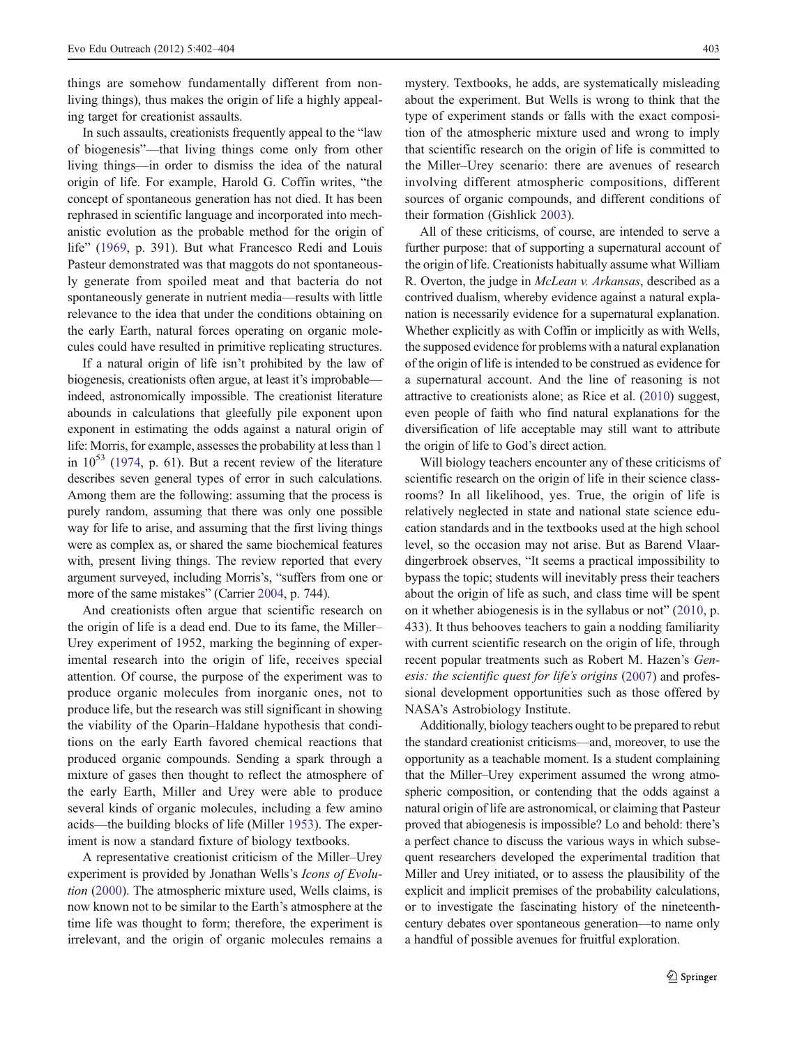things are somehow fundamentally different from nonliving things), thus makes the origin of life a highly appealing target for creationist assaults.

In such assaults, creationists frequently appeal to the "law of biogenesis"—that living things come only from other living things—in order to dismiss the idea of the natural origin of life. For example, Harold G. Coffin writes, "the concept of spontaneous generation has not died. It has been rephrased in scientific language and incorporated into mechanistic evolution as the probable method for the origin of life" ([1969,](#page-2-0) p. 391). But what Francesco Redi and Louis Pasteur demonstrated was that maggots do not spontaneously generate from spoiled meat and that bacteria do not spontaneously generate in nutrient media—results with little relevance to the idea that under the conditions obtaining on the early Earth, natural forces operating on organic molecules could have resulted in primitive replicating structures.

If a natural origin of life isn't prohibited by the law of biogenesis, creationists often argue, at least it's improbable indeed, astronomically impossible. The creationist literature abounds in calculations that gleefully pile exponent upon exponent in estimating the odds against a natural origin of life: Morris, for example, assesses the probability at less than 1 in  $10^{53}$  ([1974](#page-2-0), p. 61). But a recent review of the literature describes seven general types of error in such calculations. Among them are the following: assuming that the process is purely random, assuming that there was only one possible way for life to arise, and assuming that the first living things were as complex as, or shared the same biochemical features with, present living things. The review reported that every argument surveyed, including Morris's, "suffers from one or more of the same mistakes" (Carrier [2004](#page-2-0), p. 744).

And creationists often argue that scientific research on the origin of life is a dead end. Due to its fame, the Miller– Urey experiment of 1952, marking the beginning of experimental research into the origin of life, receives special attention. Of course, the purpose of the experiment was to produce organic molecules from inorganic ones, not to produce life, but the research was still significant in showing the viability of the Oparin–Haldane hypothesis that conditions on the early Earth favored chemical reactions that produced organic compounds. Sending a spark through a mixture of gases then thought to reflect the atmosphere of the early Earth, Miller and Urey were able to produce several kinds of organic molecules, including a few amino acids—the building blocks of life (Miller [1953\)](#page-2-0). The experiment is now a standard fixture of biology textbooks.

A representative creationist criticism of the Miller–Urey experiment is provided by Jonathan Wells's *Icons of Evolu*tion [\(2000](#page-2-0)). The atmospheric mixture used, Wells claims, is now known not to be similar to the Earth's atmosphere at the time life was thought to form; therefore, the experiment is irrelevant, and the origin of organic molecules remains a mystery. Textbooks, he adds, are systematically misleading about the experiment. But Wells is wrong to think that the type of experiment stands or falls with the exact composition of the atmospheric mixture used and wrong to imply that scientific research on the origin of life is committed to the Miller–Urey scenario: there are avenues of research involving different atmospheric compositions, different sources of organic compounds, and different conditions of their formation (Gishlick [2003\)](#page-2-0).

All of these criticisms, of course, are intended to serve a further purpose: that of supporting a supernatural account of the origin of life. Creationists habitually assume what William R. Overton, the judge in McLean v. Arkansas, described as a contrived dualism, whereby evidence against a natural explanation is necessarily evidence for a supernatural explanation. Whether explicitly as with Coffin or implicitly as with Wells, the supposed evidence for problems with a natural explanation of the origin of life is intended to be construed as evidence for a supernatural account. And the line of reasoning is not attractive to creationists alone; as Rice et al. ([2010](#page-2-0)) suggest, even people of faith who find natural explanations for the diversification of life acceptable may still want to attribute the origin of life to God's direct action.

Will biology teachers encounter any of these criticisms of scientific research on the origin of life in their science classrooms? In all likelihood, yes. True, the origin of life is relatively neglected in state and national state science education standards and in the textbooks used at the high school level, so the occasion may not arise. But as Barend Vlaardingerbroek observes, "It seems a practical impossibility to bypass the topic; students will inevitably press their teachers about the origin of life as such, and class time will be spent on it whether abiogenesis is in the syllabus or not" ([2010,](#page-2-0) p. 433). It thus behooves teachers to gain a nodding familiarity with current scientific research on the origin of life, through recent popular treatments such as Robert M. Hazen'<sup>s</sup> Genesis: the scientific quest for life's origins [\(2007](#page-2-0)) and professional development opportunities such as those offered by NASA's Astrobiology Institute.

Additionally, biology teachers ought to be prepared to rebut the standard creationist criticisms—and, moreover, to use the opportunity as a teachable moment. Is a student complaining that the Miller–Urey experiment assumed the wrong atmospheric composition, or contending that the odds against a natural origin of life are astronomical, or claiming that Pasteur proved that abiogenesis is impossible? Lo and behold: there's a perfect chance to discuss the various ways in which subsequent researchers developed the experimental tradition that Miller and Urey initiated, or to assess the plausibility of the explicit and implicit premises of the probability calculations, or to investigate the fascinating history of the nineteenthcentury debates over spontaneous generation—to name only a handful of possible avenues for fruitful exploration.